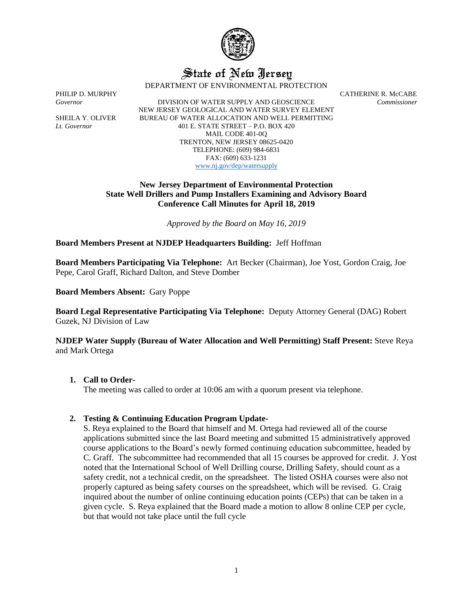

# State of New Jersey

DEPARTMENT OF ENVIRONMENTAL PROTECTION

*Governor* DIVISION OF WATER SUPPLY AND GEOSCIENCE *Commissioner* NEW JERSEY GEOLOGICAL AND WATER SURVEY ELEMENT SHEILA Y. OLIVER BUREAU OF WATER ALLOCATION AND WELL PERMITTING *Lt. Governor* 401 E. STATE STREET – P.O. BOX 420 MAIL CODE 401-0Q TRENTON, NEW JERSEY 08625-0420 TELEPHONE: (609) 984-6831 FAX: (609) 633-1231 [www.nj.gov/dep/watersupply](http://www.nj.gov/dep/watersupply)

PHILIP D. MURPHY CATHERINE R. McCABE

## **New Jersey Department of Environmental Protection State Well Drillers and Pump Installers Examining and Advisory Board Conference Call Minutes for April 18, 2019**

*Approved by the Board on May 16, 2019*

### **Board Members Present at NJDEP Headquarters Building:** Jeff Hoffman

**Board Members Participating Via Telephone:** Art Becker (Chairman), Joe Yost, Gordon Craig, Joe Pepe, Carol Graff, Richard Dalton, and Steve Domber

**Board Members Absent:** Gary Poppe

**Board Legal Representative Participating Via Telephone:** Deputy Attorney General (DAG) Robert Guzek, NJ Division of Law

**NJDEP Water Supply (Bureau of Water Allocation and Well Permitting) Staff Present:** Steve Reya and Mark Ortega

### **1. Call to Order-**

The meeting was called to order at 10:06 am with a quorum present via telephone.

### **2. Testing & Continuing Education Program Update-**

S. Reya explained to the Board that himself and M. Ortega had reviewed all of the course applications submitted since the last Board meeting and submitted 15 administratively approved course applications to the Board's newly formed continuing education subcommittee, headed by C. Graff. The subcommittee had recommended that all 15 courses be approved for credit. J. Yost noted that the International School of Well Drilling course, Drilling Safety, should count as a safety credit, not a technical credit, on the spreadsheet. The listed OSHA courses were also not properly captured as being safety courses on the spreadsheet, which will be revised. G. Craig inquired about the number of online continuing education points (CEPs) that can be taken in a given cycle. S. Reya explained that the Board made a motion to allow 8 online CEP per cycle, but that would not take place until the full cycle